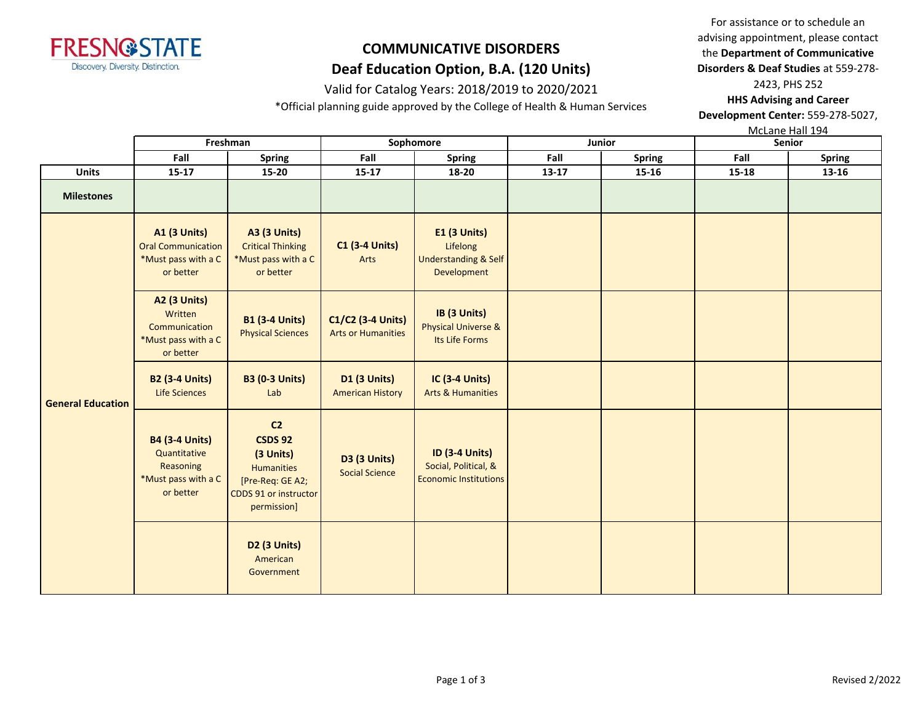

### Valid for Catalog Years: 2018/2019 to 2020/2021

\*Official planning guide approved by the College of Health & Human Services

For assistance or to schedule an advising appointment, please contact the **Department of Communicative Disorders & Deaf Studies** at 559-278- 2423, PHS 252

**HHS Advising and Career Development Center:** 559-278-5027,

McLane Hall 194

|                          | Freshman                                                                               |                                                                                                                         | Sophomore                                      |                                                                               |           | Junior        | <b>Senior</b> |               |
|--------------------------|----------------------------------------------------------------------------------------|-------------------------------------------------------------------------------------------------------------------------|------------------------------------------------|-------------------------------------------------------------------------------|-----------|---------------|---------------|---------------|
|                          | Fall<br><b>Spring</b>                                                                  |                                                                                                                         | Fall                                           | <b>Spring</b>                                                                 | Fall      | <b>Spring</b> | Fall          | <b>Spring</b> |
| <b>Units</b>             | $15 - 17$                                                                              | $15 - 20$                                                                                                               | $15 - 17$                                      | 18-20                                                                         | $13 - 17$ | $15 - 16$     | $15 - 18$     | 13-16         |
| <b>Milestones</b>        |                                                                                        |                                                                                                                         |                                                |                                                                               |           |               |               |               |
|                          | <b>A1 (3 Units)</b><br><b>Oral Communication</b><br>*Must pass with a C<br>or better   | <b>A3 (3 Units)</b><br><b>Critical Thinking</b><br>*Must pass with a C<br>or better                                     | <b>C1 (3-4 Units)</b><br>Arts                  | E1 (3 Units)<br>Lifelong<br><b>Understanding &amp; Self</b><br>Development    |           |               |               |               |
|                          | <b>A2 (3 Units)</b><br>Written<br>Communication<br>*Must pass with a C<br>or better    | <b>B1 (3-4 Units)</b><br><b>Physical Sciences</b>                                                                       | C1/C2 (3-4 Units)<br><b>Arts or Humanities</b> | IB (3 Units)<br><b>Physical Universe &amp;</b><br>Its Life Forms              |           |               |               |               |
| <b>General Education</b> | <b>B2 (3-4 Units)</b><br>Life Sciences                                                 | <b>B3 (0-3 Units)</b><br>Lab                                                                                            | <b>D1 (3 Units)</b><br><b>American History</b> | <b>IC (3-4 Units)</b><br><b>Arts &amp; Humanities</b>                         |           |               |               |               |
|                          | <b>B4 (3-4 Units)</b><br>Quantitative<br>Reasoning<br>*Must pass with a C<br>or better | C <sub>2</sub><br><b>CSDS 92</b><br>(3 Units)<br>Humanities<br>[Pre-Req: GE A2;<br>CDDS 91 or instructor<br>permission] | <b>D3 (3 Units)</b><br><b>Social Science</b>   | <b>ID (3-4 Units)</b><br>Social, Political, &<br><b>Economic Institutions</b> |           |               |               |               |
|                          |                                                                                        | D <sub>2</sub> (3 Units)<br>American<br>Government                                                                      |                                                |                                                                               |           |               |               |               |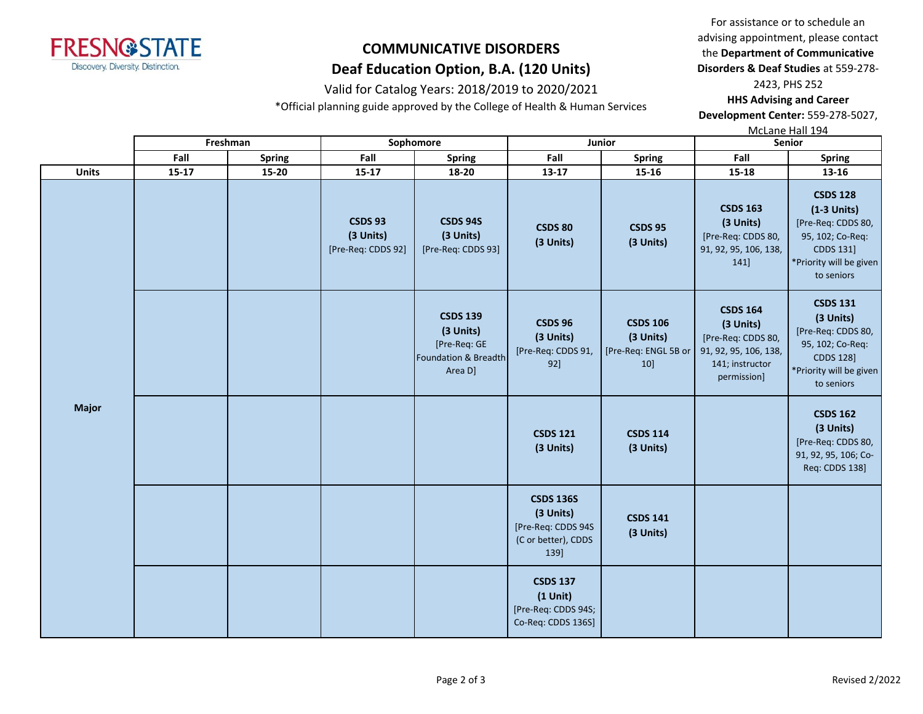

## Valid for Catalog Years: 2018/2019 to 2020/2021

\*Official planning guide approved by the College of Health & Human Services

For assistance or to schedule an advising appointment, please contact the **Department of Communicative Disorders & Deaf Studies** at 559-278- 2423, PHS 252

**HHS Advising and Career Development Center:** 559-278-5027,

McLane Hall 194

|              | Freshman<br>Sophomore |        |                                                   | Junior                                                                          |                                                                                    | 11122112111121127<br>Senior                                 |                                                                                                               |                                                                                                                                     |
|--------------|-----------------------|--------|---------------------------------------------------|---------------------------------------------------------------------------------|------------------------------------------------------------------------------------|-------------------------------------------------------------|---------------------------------------------------------------------------------------------------------------|-------------------------------------------------------------------------------------------------------------------------------------|
|              | Fall                  | Spring | Fall                                              | <b>Spring</b>                                                                   | Fall                                                                               | <b>Spring</b>                                               | Fall                                                                                                          | <b>Spring</b>                                                                                                                       |
| <b>Units</b> | $15 - 17$             | 15-20  | $15 - 17$                                         | 18-20                                                                           | 13-17                                                                              | 15-16                                                       | 15-18                                                                                                         | 13-16                                                                                                                               |
|              |                       |        | <b>CSDS 93</b><br>(3 Units)<br>[Pre-Req: CDDS 92] | <b>CSDS 94S</b><br>(3 Units)<br>[Pre-Req: CDDS 93]                              | <b>CSDS 80</b><br>(3 Units)                                                        | <b>CSDS 95</b><br>(3 Units)                                 | <b>CSDS 163</b><br>(3 Units)<br>[Pre-Req: CDDS 80,<br>91, 92, 95, 106, 138,<br>141                            | <b>CSDS 128</b><br>$(1-3$ Units)<br>[Pre-Req: CDDS 80,<br>95, 102; Co-Req:<br>CDDS 131]<br>*Priority will be given<br>to seniors    |
|              |                       |        |                                                   | <b>CSDS 139</b><br>(3 Units)<br>[Pre-Req: GE<br>Foundation & Breadth<br>Area D] | <b>CSDS 96</b><br>(3 Units)<br>[Pre-Req: CDDS 91,<br>92]                           | <b>CSDS 106</b><br>(3 Units)<br>[Pre-Req: ENGL 5B or<br>10] | <b>CSDS 164</b><br>(3 Units)<br>[Pre-Req: CDDS 80,<br>91, 92, 95, 106, 138,<br>141; instructor<br>permission] | <b>CSDS 131</b><br>(3 Units)<br>[Pre-Req: CDDS 80,<br>95, 102; Co-Req:<br><b>CDDS 128]</b><br>*Priority will be given<br>to seniors |
| <b>Major</b> |                       |        |                                                   |                                                                                 | <b>CSDS 121</b><br>(3 Units)                                                       | <b>CSDS 114</b><br>(3 Units)                                |                                                                                                               | <b>CSDS 162</b><br>(3 Units)<br>[Pre-Req: CDDS 80,<br>91, 92, 95, 106; Co-<br>Req: CDDS 138]                                        |
|              |                       |        |                                                   |                                                                                 | <b>CSDS 136S</b><br>(3 Units)<br>[Pre-Req: CDDS 94S<br>(C or better), CDDS<br>139] | <b>CSDS 141</b><br>(3 Units)                                |                                                                                                               |                                                                                                                                     |
|              |                       |        |                                                   |                                                                                 | <b>CSDS 137</b><br>$(1$ Unit)<br>[Pre-Req: CDDS 94S;<br>Co-Req: CDDS 136S]         |                                                             |                                                                                                               |                                                                                                                                     |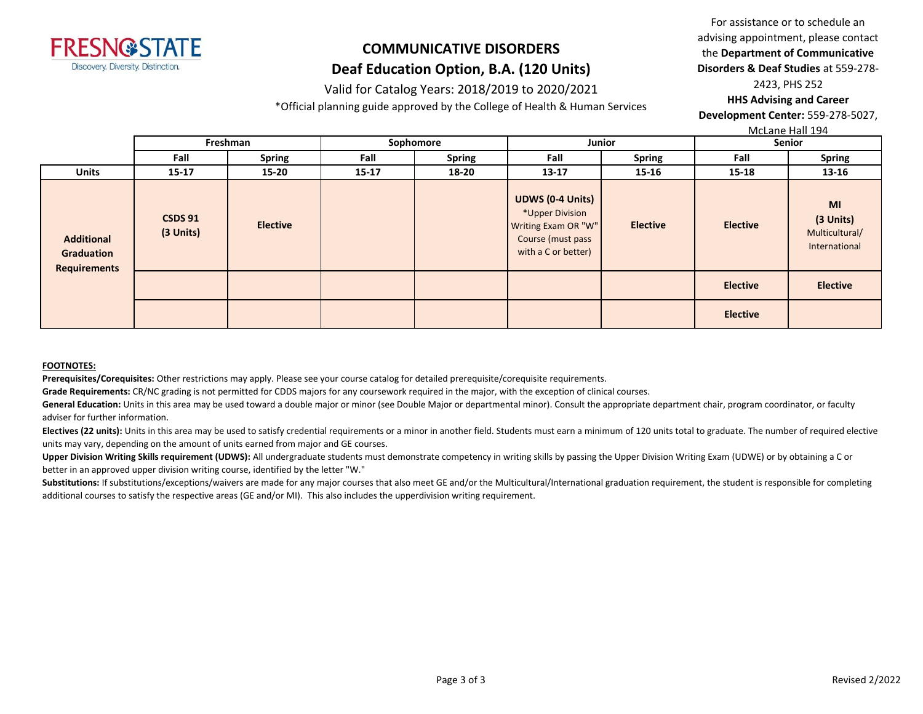

### Valid for Catalog Years: 2018/2019 to 2020/2021

\*Official planning guide approved by the College of Health & Human Services

For assistance or to schedule an advising appointment, please contact the **Department of Communicative Disorders & Deaf Studies** at 559-278- 2423, PHS 252 **HHS Advising and Career** 

**Development Center:** 559-278-5027,

McLane Hall 194

|                                                               |                             | Freshman        | Sophomore |               | Junior                                                                                                        |                 | Senior          |                                                    |
|---------------------------------------------------------------|-----------------------------|-----------------|-----------|---------------|---------------------------------------------------------------------------------------------------------------|-----------------|-----------------|----------------------------------------------------|
|                                                               | Fall                        | <b>Spring</b>   | Fall      | <b>Spring</b> | Fall                                                                                                          | <b>Spring</b>   | Fall            | <b>Spring</b>                                      |
| <b>Units</b>                                                  | $15 - 17$                   | $15 - 20$       | $15 - 17$ | 18-20         | $13 - 17$                                                                                                     | $15 - 16$       | 15-18           | 13-16                                              |
| <b>Additional</b><br><b>Graduation</b><br><b>Requirements</b> | <b>CSDS 91</b><br>(3 Units) | <b>Elective</b> |           |               | <b>UDWS (0-4 Units)</b><br>*Upper Division<br>Writing Exam OR "W"<br>Course (must pass<br>with a C or better) | <b>Elective</b> | <b>Elective</b> | MI<br>(3 Units)<br>Multicultural/<br>International |
|                                                               |                             |                 |           |               |                                                                                                               |                 | <b>Elective</b> | <b>Elective</b>                                    |
|                                                               |                             |                 |           |               |                                                                                                               |                 | <b>Elective</b> |                                                    |

#### **FOOTNOTES:**

**Prerequisites/Corequisites:** Other restrictions may apply. Please see your course catalog for detailed prerequisite/corequisite requirements.

**Grade Requirements:** CR/NC grading is not permitted for CDDS majors for any coursework required in the major, with the exception of clinical courses.

General Education: Units in this area may be used toward a double major or minor (see Double Major or departmental minor). Consult the appropriate department chair, program coordinator, or faculty adviser for further information.

Electives (22 units): Units in this area may be used to satisfy credential requirements or a minor in another field. Students must earn a minimum of 120 units total to graduate. The number of required elective units may vary, depending on the amount of units earned from major and GE courses.

Upper Division Writing Skills requirement (UDWS): All undergraduate students must demonstrate competency in writing skills by passing the Upper Division Writing Exam (UDWE) or by obtaining a C or better in an approved upper division writing course, identified by the letter "W."

Substitutions: If substitutions/exceptions/waivers are made for any major courses that also meet GE and/or the Multicultural/International graduation requirement, the student is responsible for completing additional courses to satisfy the respective areas (GE and/or MI). This also includes the upperdivision writing requirement.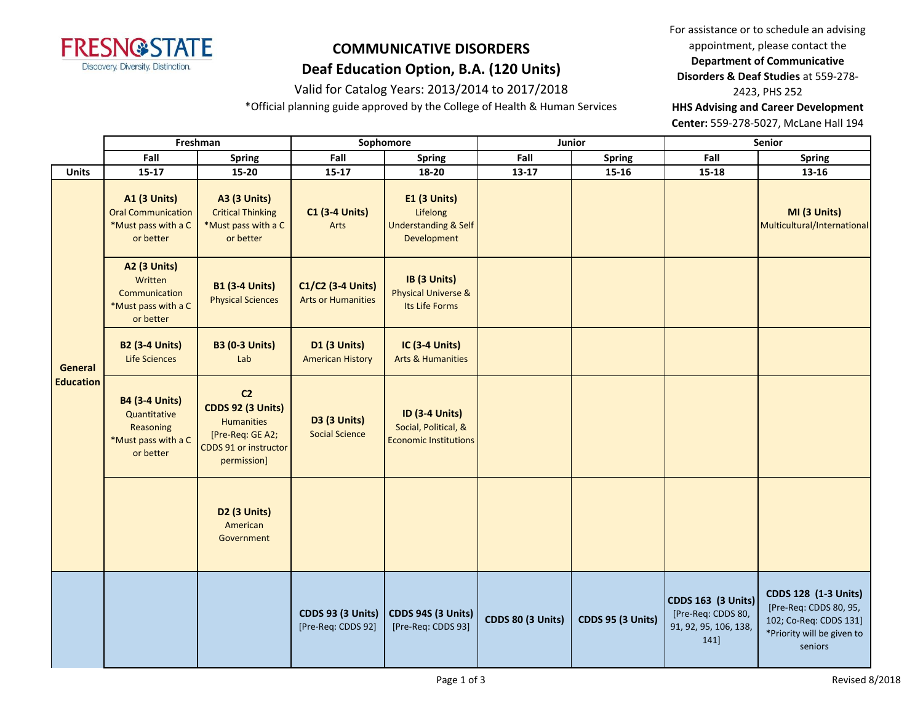

### Valid for Catalog Years: 2013/2014 to 2017/2018

\*Official planning guide approved by the College of Health & Human Services

For assistance or to schedule an advising appointment, please contact the **Department of Communicative Disorders & Deaf Studies** at 559-278- 2423, PHS 252 **HHS Advising and Career Development** 

**Center:** 559-278-5027, McLane Hall 194

|                             | Freshman                                                                               |                                                                                                                             | Sophomore                                      |                                                                                   |                          | Junior                   | Senior                                                                           |                                                                                                                          |
|-----------------------------|----------------------------------------------------------------------------------------|-----------------------------------------------------------------------------------------------------------------------------|------------------------------------------------|-----------------------------------------------------------------------------------|--------------------------|--------------------------|----------------------------------------------------------------------------------|--------------------------------------------------------------------------------------------------------------------------|
|                             | Fall                                                                                   | <b>Spring</b>                                                                                                               | Fall                                           | <b>Spring</b>                                                                     | Fall                     | <b>Spring</b>            | Fall                                                                             | <b>Spring</b>                                                                                                            |
| <b>Units</b>                | $15 - 17$                                                                              | 15-20                                                                                                                       | $15 - 17$                                      | 18-20                                                                             | $13 - 17$                | $15 - 16$                | $15 - 18$                                                                        | 13-16                                                                                                                    |
|                             | <b>A1 (3 Units)</b><br><b>Oral Communication</b><br>*Must pass with a C<br>or better   | <b>A3 (3 Units)</b><br><b>Critical Thinking</b><br>*Must pass with a C<br>or better                                         | <b>C1 (3-4 Units)</b><br>Arts                  | <b>E1 (3 Units)</b><br>Lifelong<br><b>Understanding &amp; Self</b><br>Development |                          |                          |                                                                                  | MI (3 Units)<br>Multicultural/International                                                                              |
|                             | <b>A2 (3 Units)</b><br>Written<br>Communication<br>*Must pass with a C<br>or better    | <b>B1 (3-4 Units)</b><br><b>Physical Sciences</b>                                                                           | C1/C2 (3-4 Units)<br><b>Arts or Humanities</b> | IB (3 Units)<br><b>Physical Universe &amp;</b><br>Its Life Forms                  |                          |                          |                                                                                  |                                                                                                                          |
| General<br><b>Education</b> | <b>B2 (3-4 Units)</b><br><b>Life Sciences</b>                                          | <b>B3 (0-3 Units)</b><br>Lab                                                                                                | <b>D1 (3 Units)</b><br><b>American History</b> | <b>IC (3-4 Units)</b><br><b>Arts &amp; Humanities</b>                             |                          |                          |                                                                                  |                                                                                                                          |
|                             | <b>B4 (3-4 Units)</b><br>Quantitative<br>Reasoning<br>*Must pass with a C<br>or better | C <sub>2</sub><br><b>CDDS 92 (3 Units)</b><br><b>Humanities</b><br>[Pre-Req: GE A2;<br>CDDS 91 or instructor<br>permission] | <b>D3 (3 Units)</b><br><b>Social Science</b>   | <b>ID (3-4 Units)</b><br>Social, Political, &<br><b>Economic Institutions</b>     |                          |                          |                                                                                  |                                                                                                                          |
|                             |                                                                                        | D2 (3 Units)<br>American<br>Government                                                                                      |                                                |                                                                                   |                          |                          |                                                                                  |                                                                                                                          |
|                             |                                                                                        |                                                                                                                             | <b>CDDS 93 (3 Units)</b><br>[Pre-Req: CDDS 92] | CDDS 94S (3 Units)<br>[Pre-Req: CDDS 93]                                          | <b>CDDS 80 (3 Units)</b> | <b>CDDS 95 (3 Units)</b> | <b>CDDS 163 (3 Units)</b><br>[Pre-Req: CDDS 80,<br>91, 92, 95, 106, 138,<br>141] | <b>CDDS 128 (1-3 Units)</b><br>[Pre-Req: CDDS 80, 95,<br>102; Co-Req: CDDS 131]<br>*Priority will be given to<br>seniors |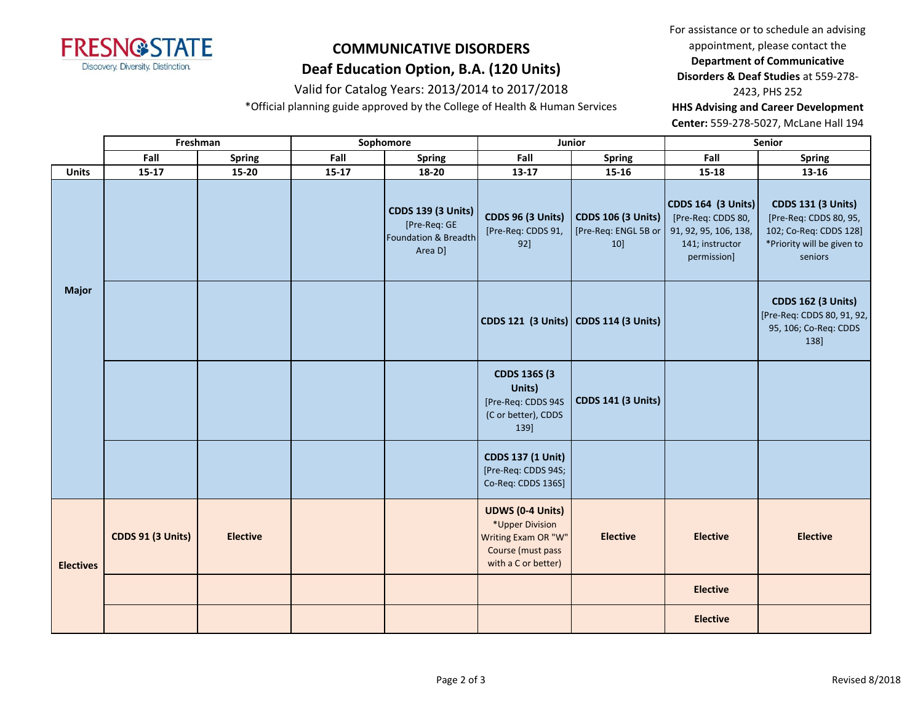

#### Valid for Catalog Years: 2013/2014 to 2017/2018

\*Official planning guide approved by the College of Health & Human Services

For assistance or to schedule an advising appointment, please contact the **Department of Communicative Disorders & Deaf Studies** at 559-278- 2423, PHS 252

**HHS Advising and Career Development** 

**Center:** 559-278-5027, McLane Hall 194

|                  | Freshman                 |                 | Sophomore |                                                                              |                                                                                                               | Junior                                                   | Senior                                                                                              |                                                                                                                        |  |
|------------------|--------------------------|-----------------|-----------|------------------------------------------------------------------------------|---------------------------------------------------------------------------------------------------------------|----------------------------------------------------------|-----------------------------------------------------------------------------------------------------|------------------------------------------------------------------------------------------------------------------------|--|
|                  | Fall                     | Spring          | Fall      | Spring                                                                       | Fall                                                                                                          | <b>Spring</b>                                            | Fall                                                                                                | <b>Spring</b>                                                                                                          |  |
| <b>Units</b>     | $15 - 17$                | $15 - 20$       | $15 - 17$ | 18-20                                                                        | $13-17$                                                                                                       | $15 - 16$                                                | $15 - 18$                                                                                           | 13-16                                                                                                                  |  |
|                  |                          |                 |           | <b>CDDS 139 (3 Units)</b><br>[Pre-Req: GE<br>Foundation & Breadth<br>Area D] | <b>CDDS 96 (3 Units)</b><br>[Pre-Req: CDDS 91,<br>92]                                                         | <b>CDDS 106 (3 Units)</b><br>[Pre-Req: ENGL 5B or<br>10] | CDDS 164 (3 Units)<br>[Pre-Req: CDDS 80,<br>91, 92, 95, 106, 138,<br>141; instructor<br>permission] | <b>CDDS 131 (3 Units)</b><br>[Pre-Req: CDDS 80, 95,<br>102; Co-Req: CDDS 128]<br>*Priority will be given to<br>seniors |  |
| <b>Major</b>     |                          |                 |           |                                                                              | CDDS 121 (3 Units) CDDS 114 (3 Units)                                                                         |                                                          |                                                                                                     | <b>CDDS 162 (3 Units)</b><br>[Pre-Req: CDDS 80, 91, 92,<br>95, 106; Co-Req: CDDS<br>138]                               |  |
|                  |                          |                 |           |                                                                              | <b>CDDS 136S (3)</b><br>Units)<br>[Pre-Req: CDDS 94S<br>(C or better), CDDS<br>139]                           | <b>CDDS 141 (3 Units)</b>                                |                                                                                                     |                                                                                                                        |  |
|                  |                          |                 |           |                                                                              | <b>CDDS 137 (1 Unit)</b><br>[Pre-Req: CDDS 94S;<br>Co-Req: CDDS 136S]                                         |                                                          |                                                                                                     |                                                                                                                        |  |
| <b>Electives</b> | <b>CDDS 91 (3 Units)</b> | <b>Elective</b> |           |                                                                              | <b>UDWS (0-4 Units)</b><br>*Upper Division<br>Writing Exam OR "W"<br>Course (must pass<br>with a C or better) | <b>Elective</b>                                          | <b>Elective</b>                                                                                     | <b>Elective</b>                                                                                                        |  |
|                  |                          |                 |           |                                                                              |                                                                                                               |                                                          | <b>Elective</b>                                                                                     |                                                                                                                        |  |
|                  |                          |                 |           |                                                                              |                                                                                                               |                                                          | <b>Elective</b>                                                                                     |                                                                                                                        |  |